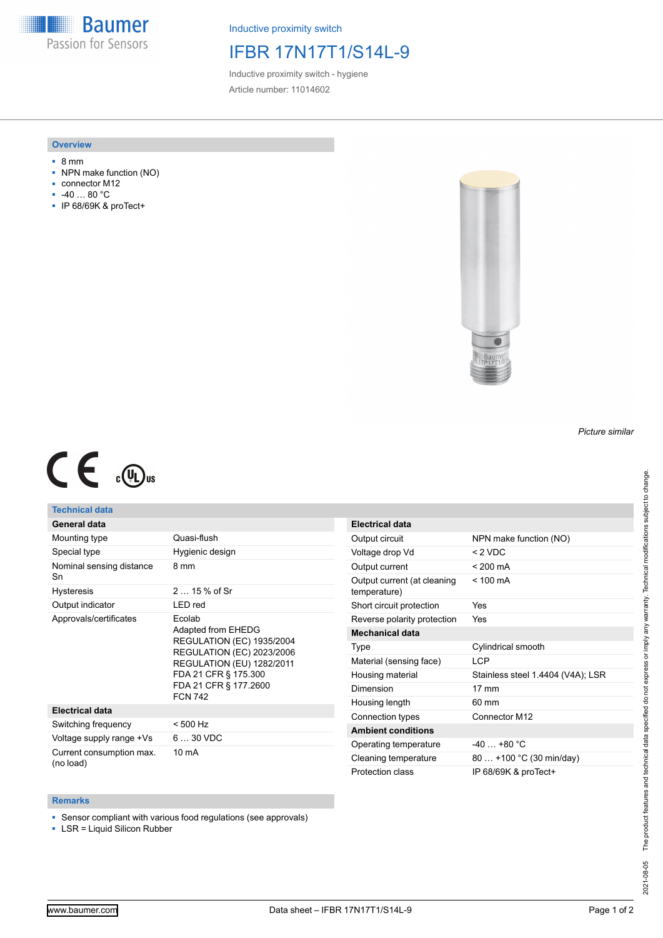**Baumer** Passion for Sensors

Inductive proximity switch

## IFBR 17N17T1/S14L-9

Inductive proximity switch - hygiene Article number: 11014602

### **Overview**

- 8 mm
- NPN make function (NO)
- connector M12
- -40 … 80 °C
- IP 68/69K & proTect+



## *Picture similar*

# $C \in \mathbb{C}$

## **Technical data**

| General data |  |
|--------------|--|
|              |  |

| Mounting type                         | Quasi-flush                                                                                                                                                                                          |
|---------------------------------------|------------------------------------------------------------------------------------------------------------------------------------------------------------------------------------------------------|
| Special type                          | Hygienic design                                                                                                                                                                                      |
| Nominal sensing distance<br>Sn        | 8 mm                                                                                                                                                                                                 |
| <b>Hysteresis</b>                     | $215%$ of Sr                                                                                                                                                                                         |
| Output indicator                      | LED red                                                                                                                                                                                              |
| Approvals/certificates                | Ecolab<br>Adapted from EHEDG<br><b>REGULATION (EC) 1935/2004</b><br>REGULATION (EC) 2023/2006<br><b>REGULATION (EU) 1282/2011</b><br>FDA 21 CFR § 175.300<br>FDA 21 CFR § 177.2600<br><b>FCN 742</b> |
| <b>Electrical data</b>                |                                                                                                                                                                                                      |
| Switching frequency                   | < 500 Hz                                                                                                                                                                                             |
| Voltage supply range +Vs              | $630$ VDC                                                                                                                                                                                            |
| Current consumption max.<br>(no load) | 10 mA                                                                                                                                                                                                |

| <b>Electrical data</b>                      |                                   |
|---------------------------------------------|-----------------------------------|
| Output circuit                              | NPN make function (NO)            |
| Voltage drop Vd                             | < 2 VDC                           |
| Output current                              | $< 200 \text{ mA}$                |
| Output current (at cleaning<br>temperature) | $< 100 \text{ mA}$                |
| Short circuit protection                    | Yes                               |
| Reverse polarity protection                 | Yes                               |
| <b>Mechanical data</b>                      |                                   |
| Type                                        | Cylindrical smooth                |
| Material (sensing face)                     | I CP                              |
| Housing material                            | Stainless steel 1.4404 (V4A); LSR |
| Dimension                                   | $17 \text{ mm}$                   |
| Housing length                              | $60 \text{ mm}$                   |
| Connection types                            | Connector M12                     |
| <b>Ambient conditions</b>                   |                                   |
| Operating temperature                       | $-40+80 °C$                       |
| Cleaning temperature                        | 80  +100 °C (30 min/day)          |
| Protection class                            | IP 68/69K & proTect+              |

#### **Remarks**

■ Sensor compliant with various food regulations (see approvals)

■ LSR = Liquid Silicon Rubber